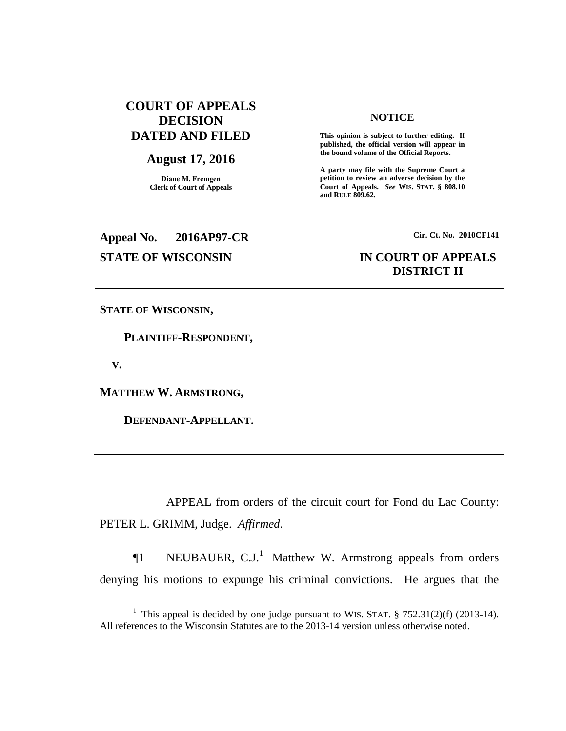# **COURT OF APPEALS DECISION DATED AND FILED**

## **August 17, 2016**

**Diane M. Fremgen Clerk of Court of Appeals**

## **NOTICE**

**This opinion is subject to further editing. If published, the official version will appear in the bound volume of the Official Reports.** 

**A party may file with the Supreme Court a petition to review an adverse decision by the Court of Appeals.** *See* **WIS. STAT. § 808.10 and RULE 809.62.** 

# **Appeal No. 2016AP97-CR Cir. Ct. No. 2010CF141**

# **STATE OF WISCONSIN IN COURT OF APPEALS DISTRICT II**

**STATE OF WISCONSIN,**

 **PLAINTIFF-RESPONDENT,**

 **V.**

 $\overline{a}$ 

**MATTHEW W. ARMSTRONG,**

 **DEFENDANT-APPELLANT.**

APPEAL from orders of the circuit court for Fond du Lac County: PETER L. GRIMM, Judge. *Affirmed*.

 $\P1$  NEUBAUER, C.J.<sup>1</sup> Matthew W. Armstrong appeals from orders denying his motions to expunge his criminal convictions. He argues that the

<sup>&</sup>lt;sup>1</sup> This appeal is decided by one judge pursuant to WIS. STAT.  $\S$  752.31(2)(f) (2013-14). All references to the Wisconsin Statutes are to the 2013-14 version unless otherwise noted.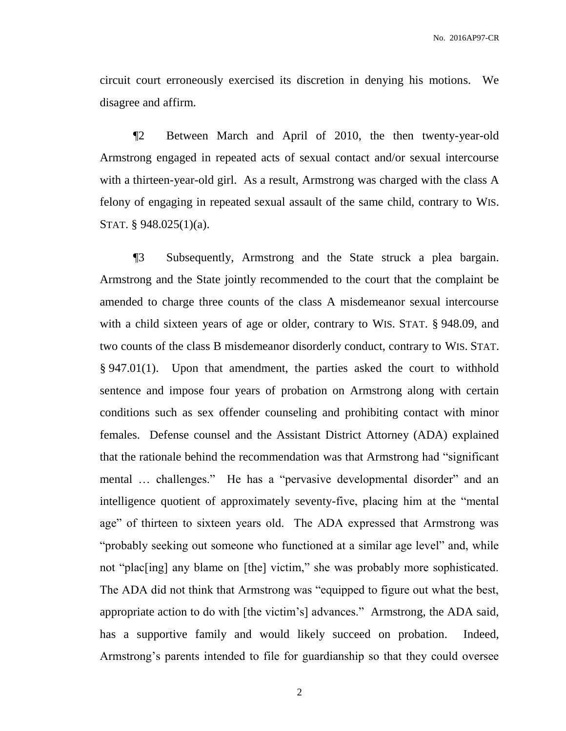circuit court erroneously exercised its discretion in denying his motions. We disagree and affirm.

¶2 Between March and April of 2010, the then twenty-year-old Armstrong engaged in repeated acts of sexual contact and/or sexual intercourse with a thirteen-year-old girl. As a result, Armstrong was charged with the class A felony of engaging in repeated sexual assault of the same child, contrary to WIS. STAT. § 948.025(1)(a).

¶3 Subsequently, Armstrong and the State struck a plea bargain. Armstrong and the State jointly recommended to the court that the complaint be amended to charge three counts of the class A misdemeanor sexual intercourse with a child sixteen years of age or older, contrary to WIS. STAT. § 948.09, and two counts of the class B misdemeanor disorderly conduct, contrary to WIS. STAT. § 947.01(1). Upon that amendment, the parties asked the court to withhold sentence and impose four years of probation on Armstrong along with certain conditions such as sex offender counseling and prohibiting contact with minor females. Defense counsel and the Assistant District Attorney (ADA) explained that the rationale behind the recommendation was that Armstrong had "significant mental … challenges." He has a "pervasive developmental disorder" and an intelligence quotient of approximately seventy-five, placing him at the "mental age" of thirteen to sixteen years old. The ADA expressed that Armstrong was "probably seeking out someone who functioned at a similar age level" and, while not "plac [ing] any blame on [the] victim," she was probably more sophisticated. The ADA did not think that Armstrong was "equipped to figure out what the best, appropriate action to do with [the victim's] advances." Armstrong, the ADA said, has a supportive family and would likely succeed on probation. Indeed, Armstrong's parents intended to file for guardianship so that they could oversee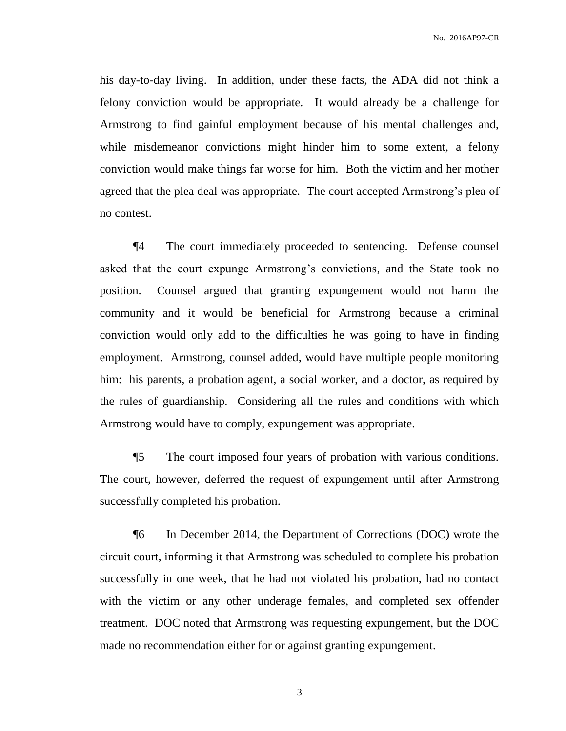No. 2016AP97-CR

his day-to-day living. In addition, under these facts, the ADA did not think a felony conviction would be appropriate. It would already be a challenge for Armstrong to find gainful employment because of his mental challenges and, while misdemeanor convictions might hinder him to some extent, a felony conviction would make things far worse for him. Both the victim and her mother agreed that the plea deal was appropriate. The court accepted Armstrong's plea of no contest.

¶4 The court immediately proceeded to sentencing. Defense counsel asked that the court expunge Armstrong's convictions, and the State took no position. Counsel argued that granting expungement would not harm the community and it would be beneficial for Armstrong because a criminal conviction would only add to the difficulties he was going to have in finding employment. Armstrong, counsel added, would have multiple people monitoring him: his parents, a probation agent, a social worker, and a doctor, as required by the rules of guardianship. Considering all the rules and conditions with which Armstrong would have to comply, expungement was appropriate.

¶5 The court imposed four years of probation with various conditions. The court, however, deferred the request of expungement until after Armstrong successfully completed his probation.

¶6 In December 2014, the Department of Corrections (DOC) wrote the circuit court, informing it that Armstrong was scheduled to complete his probation successfully in one week, that he had not violated his probation, had no contact with the victim or any other underage females, and completed sex offender treatment. DOC noted that Armstrong was requesting expungement, but the DOC made no recommendation either for or against granting expungement.

3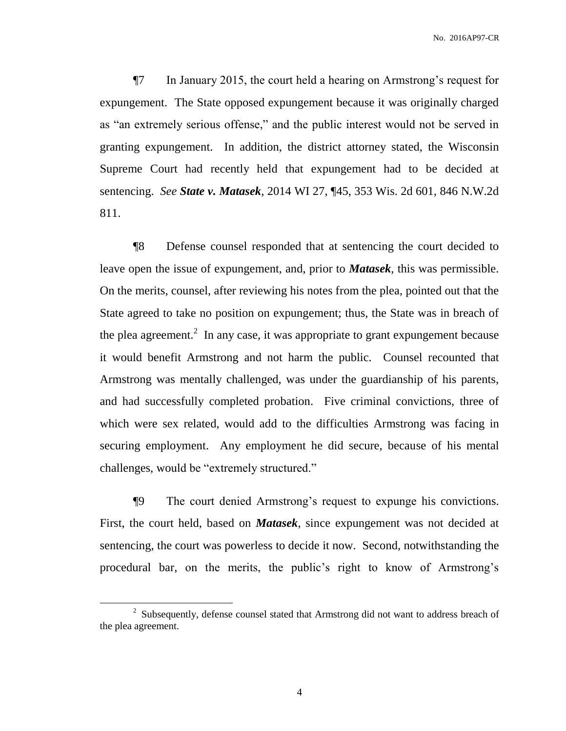No. 2016AP97-CR

¶7 In January 2015, the court held a hearing on Armstrong's request for expungement. The State opposed expungement because it was originally charged as "an extremely serious offense," and the public interest would not be served in granting expungement. In addition, the district attorney stated, the Wisconsin Supreme Court had recently held that expungement had to be decided at sentencing. *See State v. Matasek*, 2014 WI 27, ¶45, 353 Wis. 2d 601, 846 N.W.2d 811.

¶8 Defense counsel responded that at sentencing the court decided to leave open the issue of expungement, and, prior to *Matasek*, this was permissible. On the merits, counsel, after reviewing his notes from the plea, pointed out that the State agreed to take no position on expungement; thus, the State was in breach of the plea agreement.<sup>2</sup> In any case, it was appropriate to grant expungement because it would benefit Armstrong and not harm the public. Counsel recounted that Armstrong was mentally challenged, was under the guardianship of his parents, and had successfully completed probation. Five criminal convictions, three of which were sex related, would add to the difficulties Armstrong was facing in securing employment. Any employment he did secure, because of his mental challenges, would be "extremely structured."

¶9 The court denied Armstrong's request to expunge his convictions. First, the court held, based on *Matasek*, since expungement was not decided at sentencing, the court was powerless to decide it now. Second, notwithstanding the procedural bar, on the merits, the public's right to know of Armstrong's

 $\overline{a}$ 

 $2^2$  Subsequently, defense counsel stated that Armstrong did not want to address breach of the plea agreement.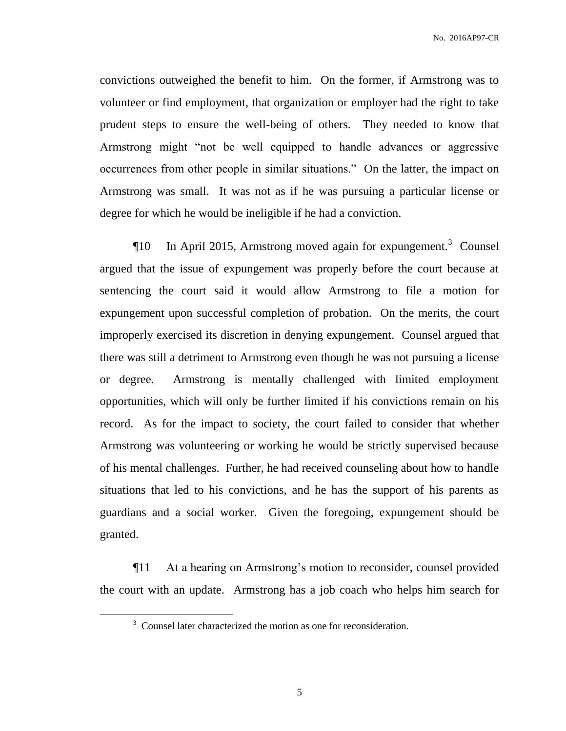No. 2016AP97-CR

convictions outweighed the benefit to him. On the former, if Armstrong was to volunteer or find employment, that organization or employer had the right to take prudent steps to ensure the well-being of others. They needed to know that Armstrong might "not be well equipped to handle advances or aggressive occurrences from other people in similar situations." On the latter, the impact on Armstrong was small. It was not as if he was pursuing a particular license or degree for which he would be ineligible if he had a conviction.

 $\P$ 10 In April 2015, Armstrong moved again for expungement.<sup>3</sup> Counsel argued that the issue of expungement was properly before the court because at sentencing the court said it would allow Armstrong to file a motion for expungement upon successful completion of probation. On the merits, the court improperly exercised its discretion in denying expungement. Counsel argued that there was still a detriment to Armstrong even though he was not pursuing a license or degree. Armstrong is mentally challenged with limited employment opportunities, which will only be further limited if his convictions remain on his record. As for the impact to society, the court failed to consider that whether Armstrong was volunteering or working he would be strictly supervised because of his mental challenges. Further, he had received counseling about how to handle situations that led to his convictions, and he has the support of his parents as guardians and a social worker. Given the foregoing, expungement should be granted.

¶11 At a hearing on Armstrong's motion to reconsider, counsel provided the court with an update. Armstrong has a job coach who helps him search for

 $\overline{a}$ 

 $3$  Counsel later characterized the motion as one for reconsideration.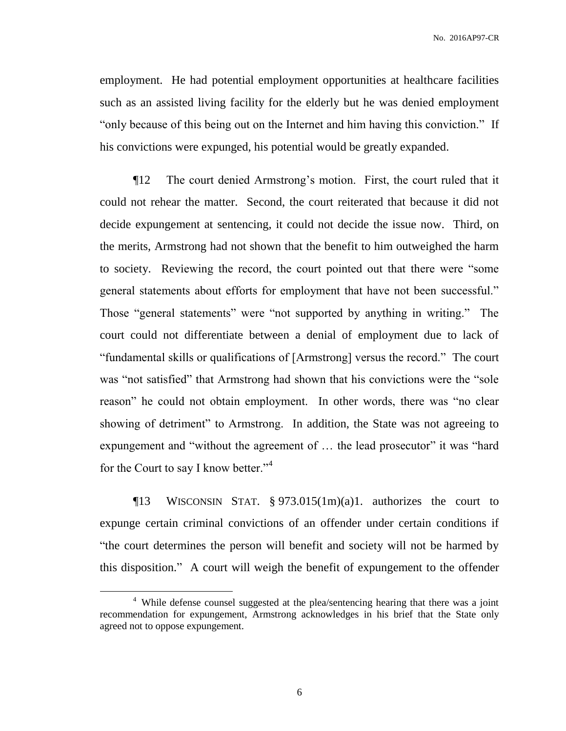employment. He had potential employment opportunities at healthcare facilities such as an assisted living facility for the elderly but he was denied employment "only because of this being out on the Internet and him having this conviction." If his convictions were expunged, his potential would be greatly expanded.

¶12 The court denied Armstrong's motion. First, the court ruled that it could not rehear the matter. Second, the court reiterated that because it did not decide expungement at sentencing, it could not decide the issue now. Third, on the merits, Armstrong had not shown that the benefit to him outweighed the harm to society. Reviewing the record, the court pointed out that there were "some general statements about efforts for employment that have not been successful." Those "general statements" were "not supported by anything in writing." The court could not differentiate between a denial of employment due to lack of "fundamental skills or qualifications of [Armstrong] versus the record." The court was "not satisfied" that Armstrong had shown that his convictions were the "sole reason" he could not obtain employment. In other words, there was "no clear showing of detriment" to Armstrong. In addition, the State was not agreeing to expungement and "without the agreement of ... the lead prosecutor" it was "hard for the Court to say I know better."<sup>4</sup>

¶13 WISCONSIN STAT. § 973.015(1m)(a)1. authorizes the court to expunge certain criminal convictions of an offender under certain conditions if "the court determines the person will benefit and society will not be harmed by this disposition." A court will weigh the benefit of expungement to the offender

 $\overline{a}$ 

<sup>&</sup>lt;sup>4</sup> While defense counsel suggested at the plea/sentencing hearing that there was a joint recommendation for expungement, Armstrong acknowledges in his brief that the State only agreed not to oppose expungement.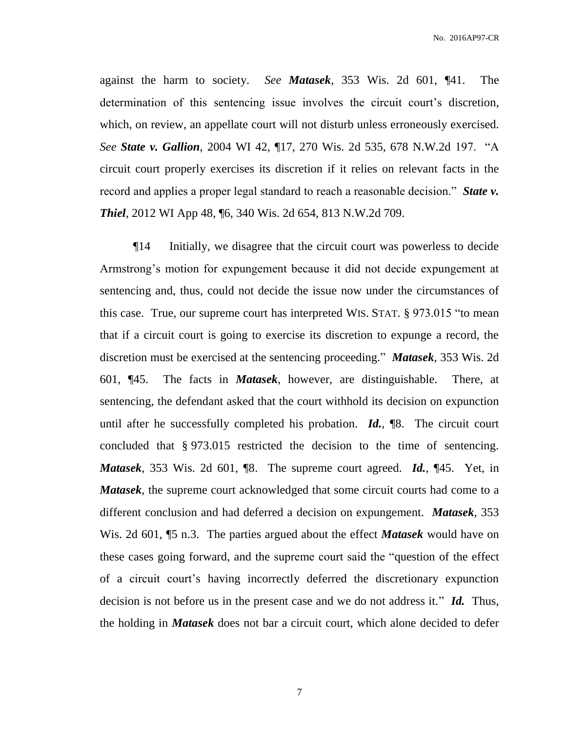against the harm to society. *See Matasek*, 353 Wis. 2d 601, ¶41. The determination of this sentencing issue involves the circuit court's discretion, which, on review, an appellate court will not disturb unless erroneously exercised. *See State v. Gallion*, 2004 WI 42, ¶17, 270 Wis. 2d 535, 678 N.W.2d 197. "A circuit court properly exercises its discretion if it relies on relevant facts in the record and applies a proper legal standard to reach a reasonable decision." *State v. Thiel*, 2012 WI App 48, ¶6, 340 Wis. 2d 654, 813 N.W.2d 709.

¶14 Initially, we disagree that the circuit court was powerless to decide Armstrong's motion for expungement because it did not decide expungement at sentencing and, thus, could not decide the issue now under the circumstances of this case. True, our supreme court has interpreted WIS. STAT. § 973.015 "to mean that if a circuit court is going to exercise its discretion to expunge a record, the discretion must be exercised at the sentencing proceeding." *Matasek*, 353 Wis. 2d 601, ¶45. The facts in *Matasek*, however, are distinguishable. There, at sentencing, the defendant asked that the court withhold its decision on expunction until after he successfully completed his probation. *Id.*, ¶8. The circuit court concluded that § 973.015 restricted the decision to the time of sentencing. *Matasek*, 353 Wis. 2d 601, ¶8. The supreme court agreed. *Id.*, ¶45. Yet, in *Matasek*, the supreme court acknowledged that some circuit courts had come to a different conclusion and had deferred a decision on expungement. *Matasek*, 353 Wis. 2d 601, ¶5 n.3. The parties argued about the effect *Matasek* would have on these cases going forward, and the supreme court said the "question of the effect of a circuit court's having incorrectly deferred the discretionary expunction decision is not before us in the present case and we do not address it." *Id.* Thus, the holding in *Matasek* does not bar a circuit court, which alone decided to defer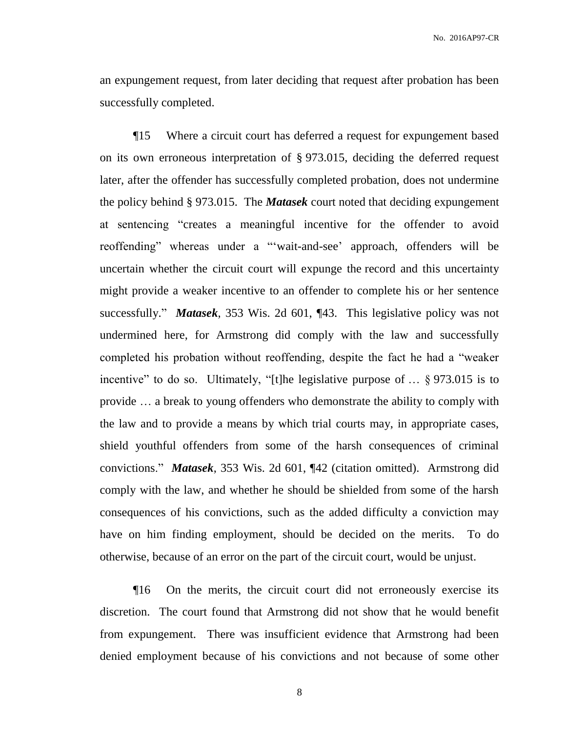an expungement request, from later deciding that request after probation has been successfully completed.

¶15 Where a circuit court has deferred a request for expungement based on its own erroneous interpretation of § 973.015, deciding the deferred request later, after the offender has successfully completed probation, does not undermine the policy behind § 973.015. The *Matasek* court noted that deciding expungement at sentencing "creates a meaningful incentive for the offender to avoid reoffending" whereas under a "'wait-and-see' approach, offenders will be uncertain whether the circuit court will expunge the record and this uncertainty might provide a weaker incentive to an offender to complete his or her sentence successfully." *Matasek*, 353 Wis. 2d 601, ¶43. This legislative policy was not undermined here, for Armstrong did comply with the law and successfully completed his probation without reoffending, despite the fact he had a "weaker incentive" to do so. Ultimately, "[t]he legislative purpose of … § 973.015 is to provide … a break to young offenders who demonstrate the ability to comply with the law and to provide a means by which trial courts may, in appropriate cases, shield youthful offenders from some of the harsh consequences of criminal convictions." *Matasek*, 353 Wis. 2d 601, ¶42 (citation omitted). Armstrong did comply with the law, and whether he should be shielded from some of the harsh consequences of his convictions, such as the added difficulty a conviction may have on him finding employment, should be decided on the merits. To do otherwise, because of an error on the part of the circuit court, would be unjust.

¶16 On the merits, the circuit court did not erroneously exercise its discretion. The court found that Armstrong did not show that he would benefit from expungement. There was insufficient evidence that Armstrong had been denied employment because of his convictions and not because of some other

8